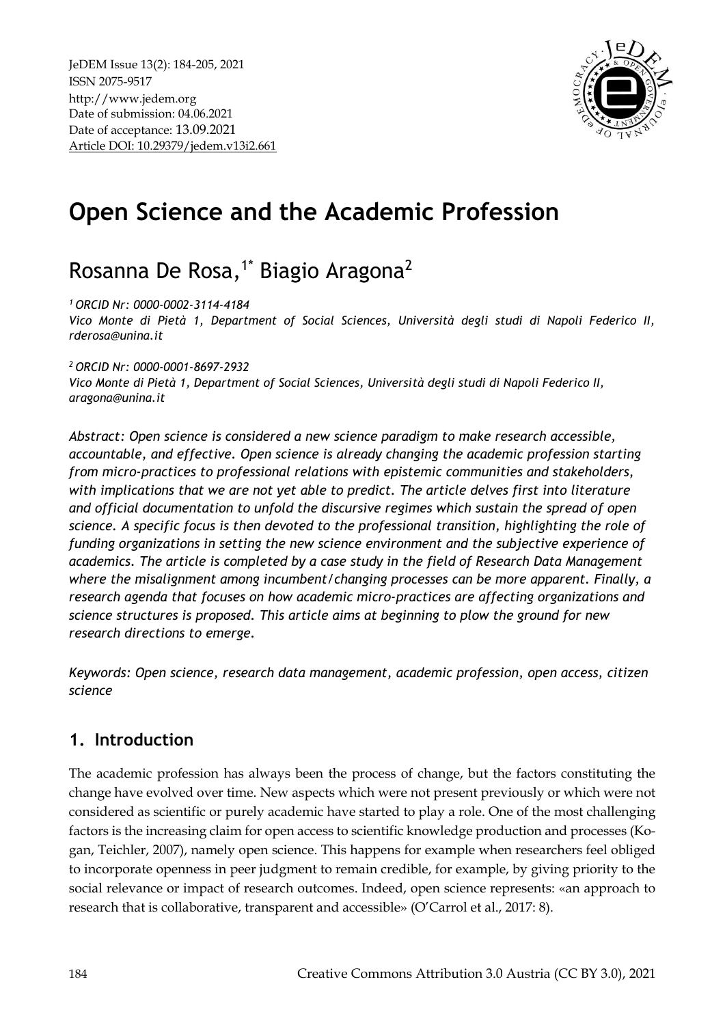

# **Open Science and the Academic Profession**

## Rosanna De Rosa,<sup>1\*</sup> Biagio Aragona<sup>2</sup>

*<sup>1</sup>ORCID Nr: 0000-0002-3114-4184* 

*Vico Monte di Pietà 1, Department of Social Sciences, Università degli studi di Napoli Federico II, [rderosa@unina.it](mailto:rderosa@unina.it)*

*<sup>2</sup>ORCID Nr: 0000-0001-8697-2932* 

*Vico Monte di Pietà 1, Department of Social Sciences, Università degli studi di Napoli Federico II, aragona@unina.it*

*Abstract: Open science is considered a new science paradigm to make research accessible, accountable, and effective. Open science is already changing the academic profession starting from micro-practices to professional relations with epistemic communities and stakeholders, with implications that we are not yet able to predict. The article delves first into literature and official documentation to unfold the discursive regimes which sustain the spread of open science. A specific focus is then devoted to the professional transition, highlighting the role of funding organizations in setting the new science environment and the subjective experience of academics. The article is completed by a case study in the field of Research Data Management where the misalignment among incumbent/changing processes can be more apparent. Finally, a research agenda that focuses on how academic micro-practices are affecting organizations and science structures is proposed. This article aims at beginning to plow the ground for new research directions to emerge.*

*Keywords: Open science, research data management, academic profession, open access, citizen science*

## **1. Introduction**

The academic profession has always been the process of change, but the factors constituting the change have evolved over time. New aspects which were not present previously or which were not considered as scientific or purely academic have started to play a role. One of the most challenging factors is the increasing claim for open access to scientific knowledge production and processes (Kogan, Teichler, 2007), namely open science. This happens for example when researchers feel obliged to incorporate openness in peer judgment to remain credible, for example, by giving priority to the social relevance or impact of research outcomes. Indeed, open science represents: «an approach to research that is collaborative, transparent and accessible» (O'Carrol et al., 2017: 8).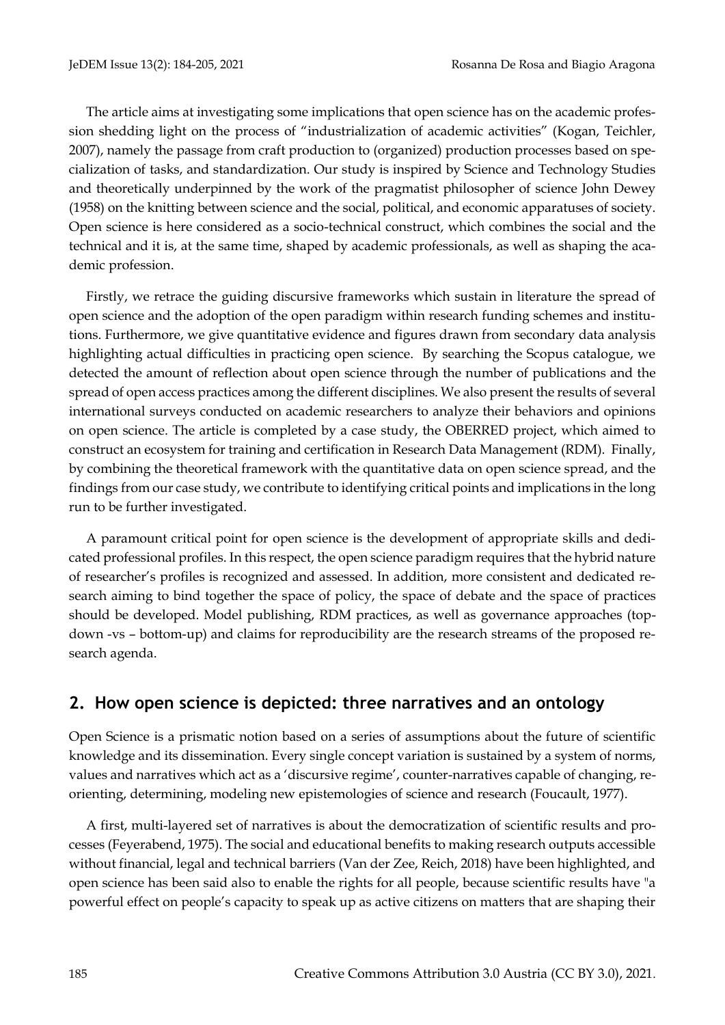The article aims at investigating some implications that open science has on the academic profession shedding light on the process of "industrialization of academic activities" (Kogan, Teichler, 2007), namely the passage from craft production to (organized) production processes based on specialization of tasks, and standardization. Our study is inspired by Science and Technology Studies and theoretically underpinned by the work of the pragmatist philosopher of science John Dewey (1958) on the knitting between science and the social, political, and economic apparatuses of society. Open science is here considered as a socio-technical construct, which combines the social and the technical and it is, at the same time, shaped by academic professionals, as well as shaping the academic profession.

Firstly, we retrace the guiding discursive frameworks which sustain in literature the spread of open science and the adoption of the open paradigm within research funding schemes and institutions. Furthermore, we give quantitative evidence and figures drawn from secondary data analysis highlighting actual difficulties in practicing open science. By searching the Scopus catalogue, we detected the amount of reflection about open science through the number of publications and the spread of open access practices among the different disciplines. We also present the results of several international surveys conducted on academic researchers to analyze their behaviors and opinions on open science. The article is completed by a case study, the OBERRED project, which aimed to construct an ecosystem for training and certification in Research Data Management (RDM). Finally, by combining the theoretical framework with the quantitative data on open science spread, and the findings from our case study, we contribute to identifying critical points and implications in the long run to be further investigated.

A paramount critical point for open science is the development of appropriate skills and dedicated professional profiles. In this respect, the open science paradigm requires that the hybrid nature of researcher's profiles is recognized and assessed. In addition, more consistent and dedicated research aiming to bind together the space of policy, the space of debate and the space of practices should be developed. Model publishing, RDM practices, as well as governance approaches (topdown -vs – bottom-up) and claims for reproducibility are the research streams of the proposed research agenda.

### **2. How open science is depicted: three narratives and an ontology**

Open Science is a prismatic notion based on a series of assumptions about the future of scientific knowledge and its dissemination. Every single concept variation is sustained by a system of norms, values and narratives which act as a 'discursive regime', counter-narratives capable of changing, reorienting, determining, modeling new epistemologies of science and research (Foucault, 1977).

A first, multi-layered set of narratives is about the democratization of scientific results and processes (Feyerabend, 1975). The social and educational benefits to making research outputs accessible without financial, legal and technical barriers (Van der Zee, Reich, 2018) have been highlighted, and open science has been said also to enable the rights for all people, because scientific results have "a powerful effect on people's capacity to speak up as active citizens on matters that are shaping their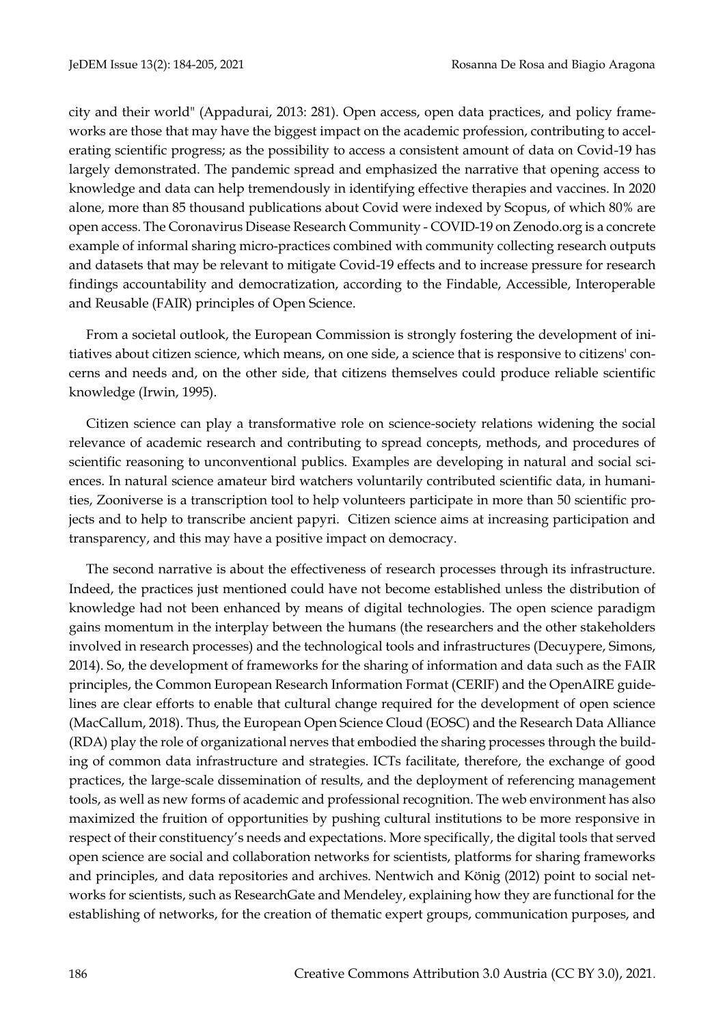city and their world" (Appadurai, 2013: 281). Open access, open data practices, and policy frameworks are those that may have the biggest impact on the academic profession, contributing to accelerating scientific progress; as the possibility to access a consistent amount of data on Covid-19 has largely demonstrated. The pandemic spread and emphasized the narrative that opening access to knowledge and data can help tremendously in identifying effective therapies and vaccines. In 2020 alone, more than 85 thousand publications about Covid were indexed by Scopus, of which 80% are open access. The Coronavirus Disease Research Community - COVID-19 on Zenodo.org is a concrete example of informal sharing micro-practices combined with community collecting research outputs and datasets that may be relevant to mitigate Covid-19 effects and to increase pressure for research findings accountability and democratization, according to the Findable, Accessible, Interoperable and Reusable (FAIR) principles of Open Science.

From a societal outlook, the European Commission is strongly fostering the development of initiatives about citizen science, which means, on one side, a science that is responsive to citizens' concerns and needs and, on the other side, that citizens themselves could produce reliable scientific knowledge (Irwin, 1995).

Citizen science can play a transformative role on science-society relations widening the social relevance of academic research and contributing to spread concepts, methods, and procedures of scientific reasoning to unconventional publics. Examples are developing in natural and social sciences. In natural science amateur bird watchers voluntarily contributed scientific data, in humanities, Zooniverse is a transcription tool to help volunteers participate in more than 50 scientific projects and to help to transcribe ancient papyri. Citizen science aims at increasing participation and transparency, and this may have a positive impact on democracy.

The second narrative is about the effectiveness of research processes through its infrastructure. Indeed, the practices just mentioned could have not become established unless the distribution of knowledge had not been enhanced by means of digital technologies. The open science paradigm gains momentum in the interplay between the humans (the researchers and the other stakeholders involved in research processes) and the technological tools and infrastructures (Decuypere, Simons, 2014). So, the development of frameworks for the sharing of information and data such as the FAIR principles, the Common European Research Information Format (CERIF) and the OpenAIRE guidelines are clear efforts to enable that cultural change required for the development of open science (MacCallum, 2018). Thus, the European Open Science Cloud (EOSC) and the Research Data Alliance (RDA) play the role of organizational nerves that embodied the sharing processes through the building of common data infrastructure and strategies. ICTs facilitate, therefore, the exchange of good practices, the large-scale dissemination of results, and the deployment of referencing management tools, as well as new forms of academic and professional recognition. The web environment has also maximized the fruition of opportunities by pushing cultural institutions to be more responsive in respect of their constituency's needs and expectations. More specifically, the digital tools that served open science are social and collaboration networks for scientists, platforms for sharing frameworks and principles, and data repositories and archives. Nentwich and König (2012) point to social networks for scientists, such as ResearchGate and Mendeley, explaining how they are functional for the establishing of networks, for the creation of thematic expert groups, communication purposes, and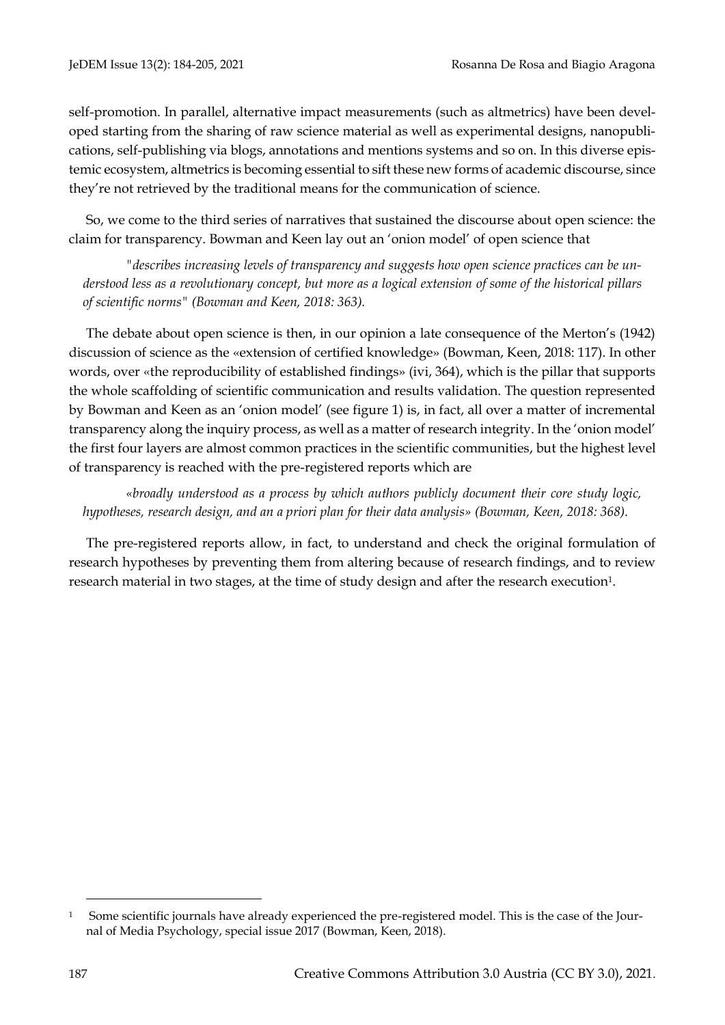self-promotion. In parallel, alternative impact measurements (such as altmetrics) have been developed starting from the sharing of raw science material as well as experimental designs, nanopublications, self-publishing via blogs, annotations and mentions systems and so on. In this diverse epistemic ecosystem, altmetrics is becoming essential to sift these new forms of academic discourse, since they're not retrieved by the traditional means for the communication of science.

So, we come to the third series of narratives that sustained the discourse about open science: the claim for transparency. Bowman and Keen lay out an 'onion model' of open science that

*"describes increasing levels of transparency and suggests how open science practices can be understood less as a revolutionary concept, but more as a logical extension of some of the historical pillars of scientific norms" (Bowman and Keen, 2018: 363).* 

The debate about open science is then, in our opinion a late consequence of the Merton's (1942) discussion of science as the «extension of certified knowledge» (Bowman, Keen, 2018: 117). In other words, over «the reproducibility of established findings» (ivi, 364), which is the pillar that supports the whole scaffolding of scientific communication and results validation. The question represented by Bowman and Keen as an 'onion model' (see figure 1) is, in fact, all over a matter of incremental transparency along the inquiry process, as well as a matter of research integrity. In the 'onion model' the first four layers are almost common practices in the scientific communities, but the highest level of transparency is reached with the pre-registered reports which are

*«broadly understood as a process by which authors publicly document their core study logic, hypotheses, research design, and an a priori plan for their data analysis» (Bowman, Keen, 2018: 368).* 

The pre-registered reports allow, in fact, to understand and check the original formulation of research hypotheses by preventing them from altering because of research findings, and to review research material in two stages, at the time of study design and after the research execution<sup>1</sup>.

<sup>1</sup> Some scientific journals have already experienced the pre-registered model. This is the case of the Journal of Media Psychology, special issue 2017 (Bowman, Keen, 2018).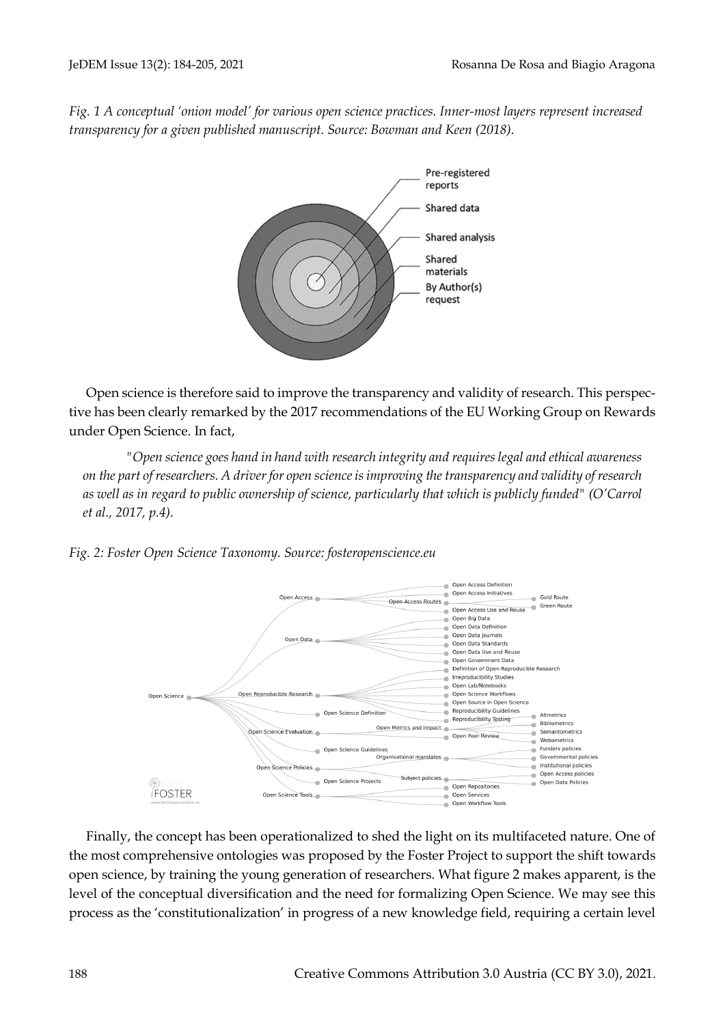*Fig. 1 A conceptual 'onion model' for various open science practices. Inner-most layers represent increased transparency for a given published manuscript. Source: Bowman and Keen (2018).*



Open science is therefore said to improve the transparency and validity of research. This perspective has been clearly remarked by the 2017 recommendations of the EU Working Group on Rewards under Open Science. In fact,

*"Open science goes hand in hand with research integrity and requires legal and ethical awareness on the part of researchers. A driver for open science is improving the transparency and validity of research as well as in regard to public ownership of science, particularly that which is publicly funded" (O'Carrol et al., 2017, p.4).* 

*Fig. 2: Foster Open Science Taxonomy. Source: fosteropenscience.eu*



Finally, the concept has been operationalized to shed the light on its multifaceted nature. One of the most comprehensive ontologies was proposed by the Foster Project to support the shift towards open science, by training the young generation of researchers. What figure 2 makes apparent, is the level of the conceptual diversification and the need for formalizing Open Science. We may see this process as the 'constitutionalization' in progress of a new knowledge field, requiring a certain level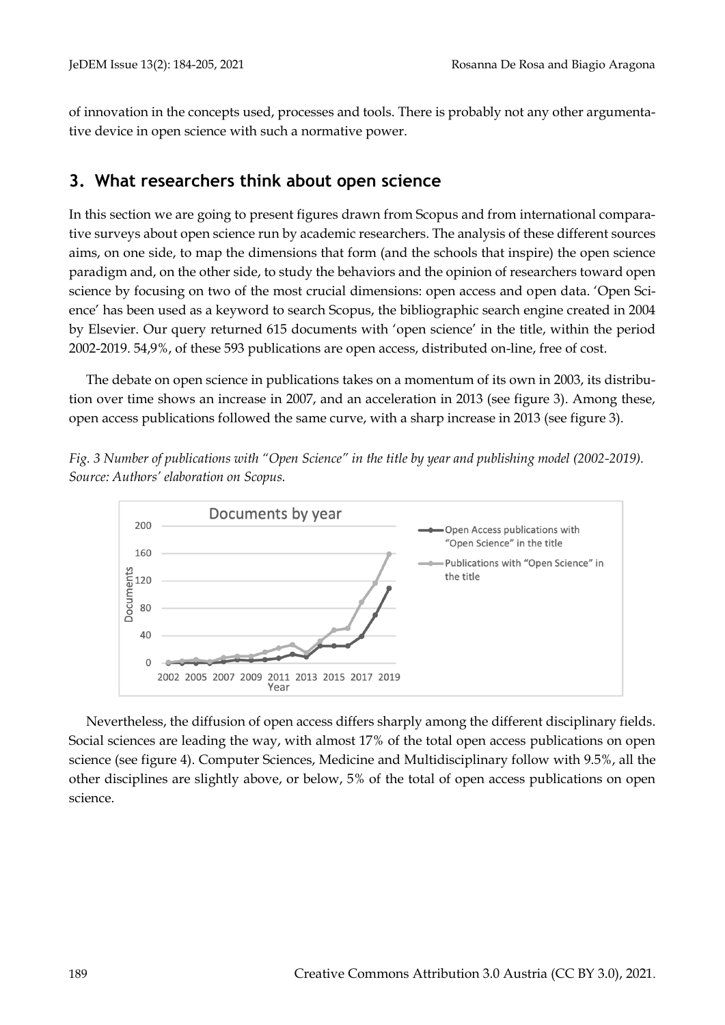of innovation in the concepts used, processes and tools. There is probably not any other argumentative device in open science with such a normative power.

## **3. What researchers think about open science**

In this section we are going to present figures drawn from Scopus and from international comparative surveys about open science run by academic researchers. The analysis of these different sources aims, on one side, to map the dimensions that form (and the schools that inspire) the open science paradigm and, on the other side, to study the behaviors and the opinion of researchers toward open science by focusing on two of the most crucial dimensions: open access and open data. 'Open Science' has been used as a keyword to search Scopus, the bibliographic search engine created in 2004 by Elsevier. Our query returned 615 documents with 'open science' in the title, within the period 2002-2019. 54,9%, of these 593 publications are open access, distributed on-line, free of cost.

The debate on open science in publications takes on a momentum of its own in 2003, its distribution over time shows an increase in 2007, and an acceleration in 2013 (see figure 3). Among these, open access publications followed the same curve, with a sharp increase in 2013 (see figure 3).

*Fig. 3 Number of publications with "Open Science" in the title by year and publishing model (2002-2019). Source: Authors' elaboration on Scopus.*



Nevertheless, the diffusion of open access differs sharply among the different disciplinary fields. Social sciences are leading the way, with almost 17% of the total open access publications on open science (see figure 4). Computer Sciences, Medicine and Multidisciplinary follow with 9.5%, all the other disciplines are slightly above, or below, 5% of the total of open access publications on open science.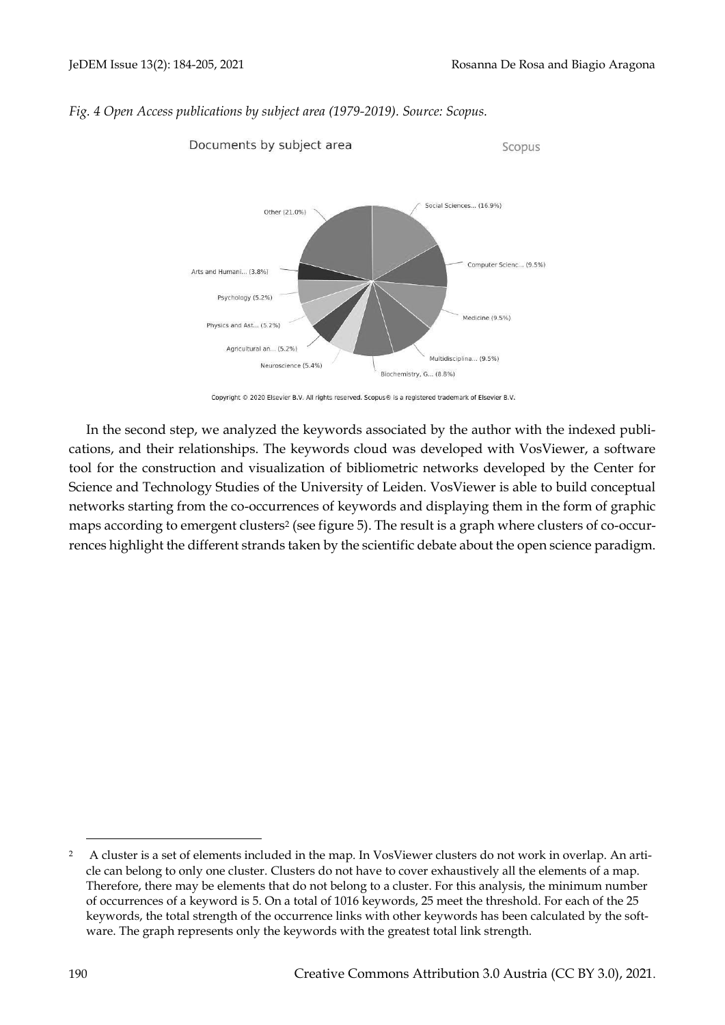Scopus



#### *Fig. 4 Open Access publications by subject area (1979-2019). Source: Scopus.*

Documents by subject area



In the second step, we analyzed the keywords associated by the author with the indexed publications, and their relationships. The keywords cloud was developed with VosViewer, a software tool for the construction and visualization of bibliometric networks developed by the Center for Science and Technology Studies of the University of Leiden. VosViewer is able to build conceptual networks starting from the co-occurrences of keywords and displaying them in the form of graphic maps according to emergent clusters<sup>2</sup> (see figure 5). The result is a graph where clusters of co-occurrences highlight the different strands taken by the scientific debate about the open science paradigm.

<sup>2</sup> A cluster is a set of elements included in the map. In VosViewer clusters do not work in overlap. An article can belong to only one cluster. Clusters do not have to cover exhaustively all the elements of a map. Therefore, there may be elements that do not belong to a cluster. For this analysis, the minimum number of occurrences of a keyword is 5. On a total of 1016 keywords, 25 meet the threshold. For each of the 25 keywords, the total strength of the occurrence links with other keywords has been calculated by the software. The graph represents only the keywords with the greatest total link strength.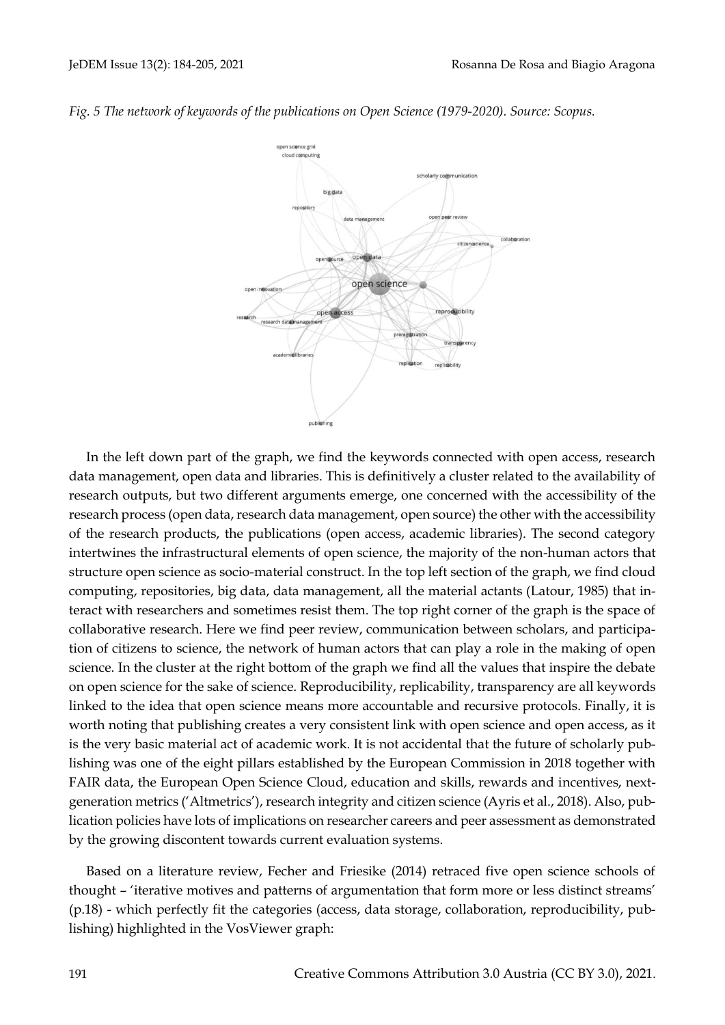

*Fig. 5 The network of keywords of the publications on Open Science (1979-2020). Source: Scopus.*

In the left down part of the graph, we find the keywords connected with open access, research data management, open data and libraries. This is definitively a cluster related to the availability of research outputs, but two different arguments emerge, one concerned with the accessibility of the research process (open data, research data management, open source) the other with the accessibility of the research products, the publications (open access, academic libraries). The second category intertwines the infrastructural elements of open science, the majority of the non-human actors that structure open science as socio-material construct. In the top left section of the graph, we find cloud computing, repositories, big data, data management, all the material actants (Latour, 1985) that interact with researchers and sometimes resist them. The top right corner of the graph is the space of collaborative research. Here we find peer review, communication between scholars, and participation of citizens to science, the network of human actors that can play a role in the making of open science. In the cluster at the right bottom of the graph we find all the values that inspire the debate on open science for the sake of science. Reproducibility, replicability, transparency are all keywords linked to the idea that open science means more accountable and recursive protocols. Finally, it is worth noting that publishing creates a very consistent link with open science and open access, as it is the very basic material act of academic work. It is not accidental that the future of scholarly publishing was one of the eight pillars established by the European Commission in 2018 together with FAIR data, the European Open Science Cloud, education and skills, rewards and incentives, nextgeneration metrics ('Altmetrics'), research integrity and citizen science (Ayris et al., 2018). Also, publication policies have lots of implications on researcher careers and peer assessment as demonstrated by the growing discontent towards current evaluation systems.

Based on a literature review, Fecher and Friesike (2014) retraced five open science schools of thought – 'iterative motives and patterns of argumentation that form more or less distinct streams' (p.18) - which perfectly fit the categories (access, data storage, collaboration, reproducibility, publishing) highlighted in the VosViewer graph: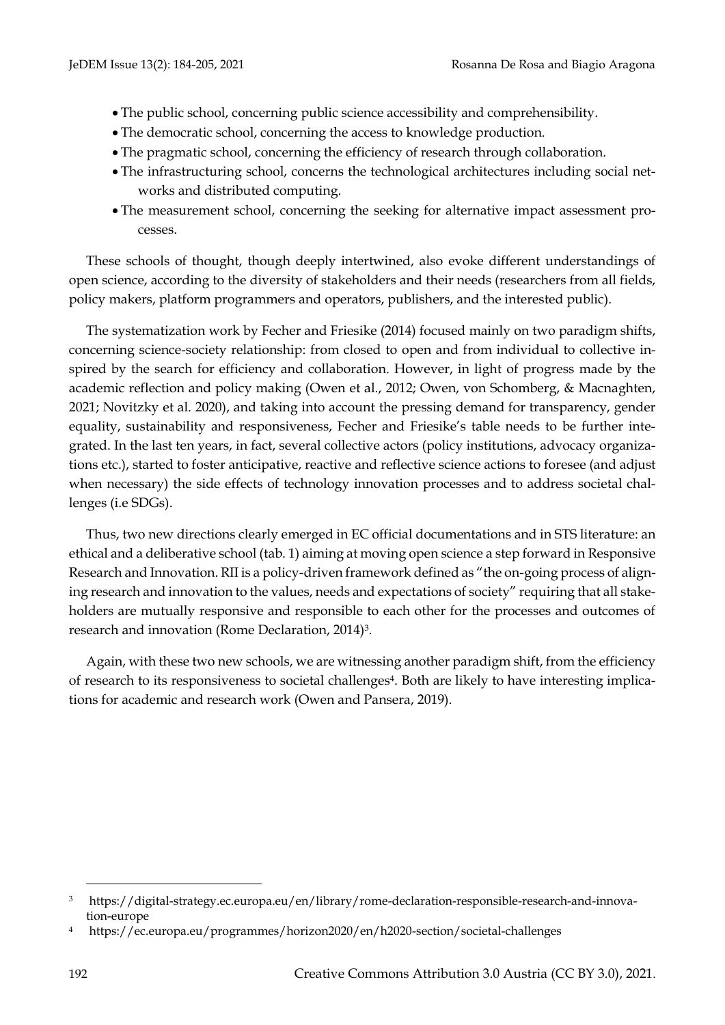- The public school, concerning public science accessibility and comprehensibility.
- The democratic school, concerning the access to knowledge production.
- The pragmatic school, concerning the efficiency of research through collaboration.
- The infrastructuring school, concerns the technological architectures including social networks and distributed computing.
- The measurement school, concerning the seeking for alternative impact assessment processes.

These schools of thought, though deeply intertwined, also evoke different understandings of open science, according to the diversity of stakeholders and their needs (researchers from all fields, policy makers, platform programmers and operators, publishers, and the interested public).

The systematization work by Fecher and Friesike (2014) focused mainly on two paradigm shifts, concerning science-society relationship: from closed to open and from individual to collective inspired by the search for efficiency and collaboration. However, in light of progress made by the academic reflection and policy making (Owen et al., 2012; Owen, von Schomberg, & Macnaghten, 2021; Novitzky et al. 2020), and taking into account the pressing demand for transparency, gender equality, sustainability and responsiveness, Fecher and Friesike's table needs to be further integrated. In the last ten years, in fact, several collective actors (policy institutions, advocacy organizations etc.), started to foster anticipative, reactive and reflective science actions to foresee (and adjust when necessary) the side effects of technology innovation processes and to address societal challenges (i.e SDGs).

Thus, two new directions clearly emerged in EC official documentations and in STS literature: an ethical and a deliberative school (tab. 1) aiming at moving open science a step forward in Responsive Research and Innovation. RII is a policy-driven framework defined as "the on-going process of aligning research and innovation to the values, needs and expectations of society" requiring that all stakeholders are mutually responsive and responsible to each other for the processes and outcomes of research and innovation (Rome Declaration, 2014)3.

Again, with these two new schools, we are witnessing another paradigm shift, from the efficiency of research to its responsiveness to societal challenges4. Both are likely to have interesting implications for academic and research work (Owen and Pansera, 2019).

<sup>3</sup> https://digital-strategy.ec.europa.eu/en/library/rome-declaration-responsible-research-and-innovation-europe

<sup>4</sup> https://ec.europa.eu/programmes/horizon2020/en/h2020-section/societal-challenges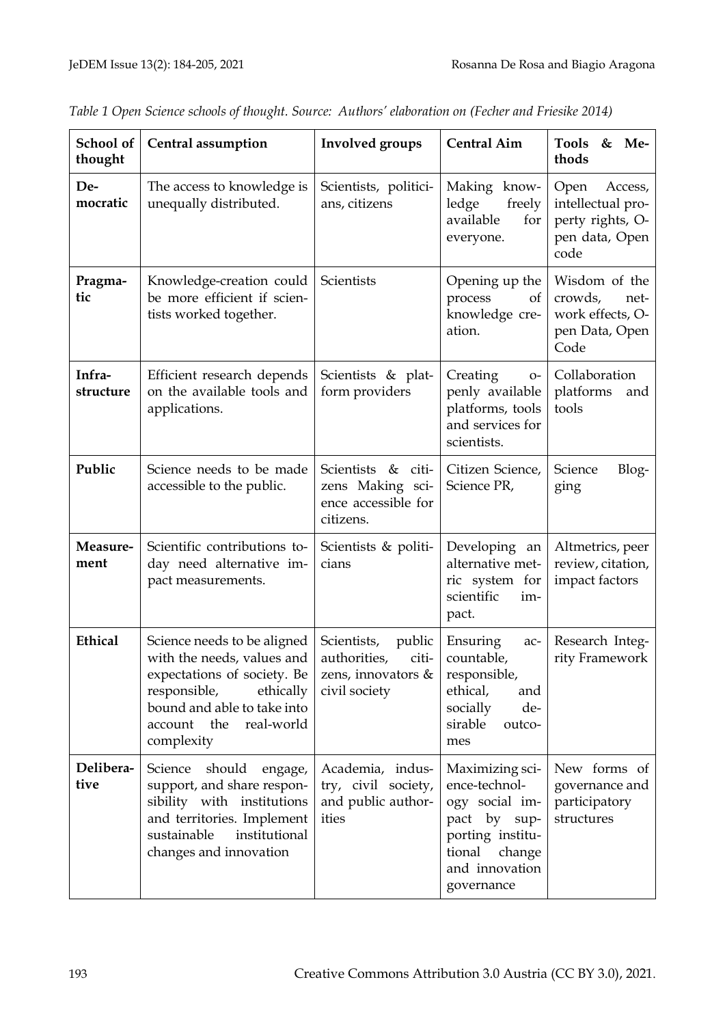| School of<br>thought | <b>Central assumption</b>                                                                                                                                                                          | <b>Involved</b> groups                                                                   | <b>Central Aim</b>                                                                                                                         | <b>Tools</b><br>&<br>Me-<br>thods                                                  |
|----------------------|----------------------------------------------------------------------------------------------------------------------------------------------------------------------------------------------------|------------------------------------------------------------------------------------------|--------------------------------------------------------------------------------------------------------------------------------------------|------------------------------------------------------------------------------------|
| De-<br>mocratic      | The access to knowledge is<br>unequally distributed.                                                                                                                                               | Scientists, politici-<br>ans, citizens                                                   | Making know-<br>ledge<br>freely<br>available<br>for<br>everyone.                                                                           | Open<br>Access,<br>intellectual pro-<br>perty rights, O-<br>pen data, Open<br>code |
| Pragma-<br>tic       | Knowledge-creation could<br>be more efficient if scien-<br>tists worked together.                                                                                                                  | Scientists                                                                               | Opening up the<br>process<br>of<br>knowledge cre-<br>ation.                                                                                | Wisdom of the<br>crowds,<br>net-<br>work effects, O-<br>pen Data, Open<br>Code     |
| Infra-<br>structure  | Efficient research depends<br>on the available tools and<br>applications.                                                                                                                          | Scientists & plat-<br>form providers                                                     | Creating<br>$O-$<br>penly available<br>platforms, tools<br>and services for<br>scientists.                                                 | Collaboration<br>platforms<br>and<br>tools                                         |
| Public               | Science needs to be made<br>accessible to the public.                                                                                                                                              | Scientists & citi-<br>zens Making sci-<br>ence accessible for<br>citizens.               | Citizen Science,<br>Science PR,                                                                                                            | Blog-<br>Science<br>ging                                                           |
| Measure-<br>ment     | Scientific contributions to-<br>day need alternative im-<br>pact measurements.                                                                                                                     | Scientists & politi-<br>cians                                                            | Developing an<br>alternative met-<br>ric system for<br>scientific<br>im-<br>pact.                                                          | Altmetrics, peer<br>review, citation,<br>impact factors                            |
| Ethical              | Science needs to be aligned<br>with the needs, values and<br>expectations of society. Be<br>responsible,<br>ethically<br>bound and able to take into<br>real-world<br>account<br>the<br>complexity | Scientists,<br>public<br>authorities,<br>citi-<br>zens, innovators $\&$<br>civil society | Ensuring<br>ac-<br>countable,<br>responsible,<br>ethical,<br>and<br>de-<br>socially<br>sirable<br>outco-<br>mes                            | Research Integ-<br>rity Framework                                                  |
| Delibera-<br>tive    | Science should<br>engage,<br>support, and share respon-<br>sibility with institutions<br>and territories. Implement<br>sustainable<br>institutional<br>changes and innovation                      | Academia, indus-<br>try, civil society,<br>and public author-<br>ities                   | Maximizing sci-<br>ence-technol-<br>ogy social im-<br>pact by sup-<br>porting institu-<br>tional<br>change<br>and innovation<br>governance | New forms of<br>governance and<br>participatory<br>structures                      |

*Table 1 Open Science schools of thought. Source: Authors' elaboration on (Fecher and Friesike 2014)*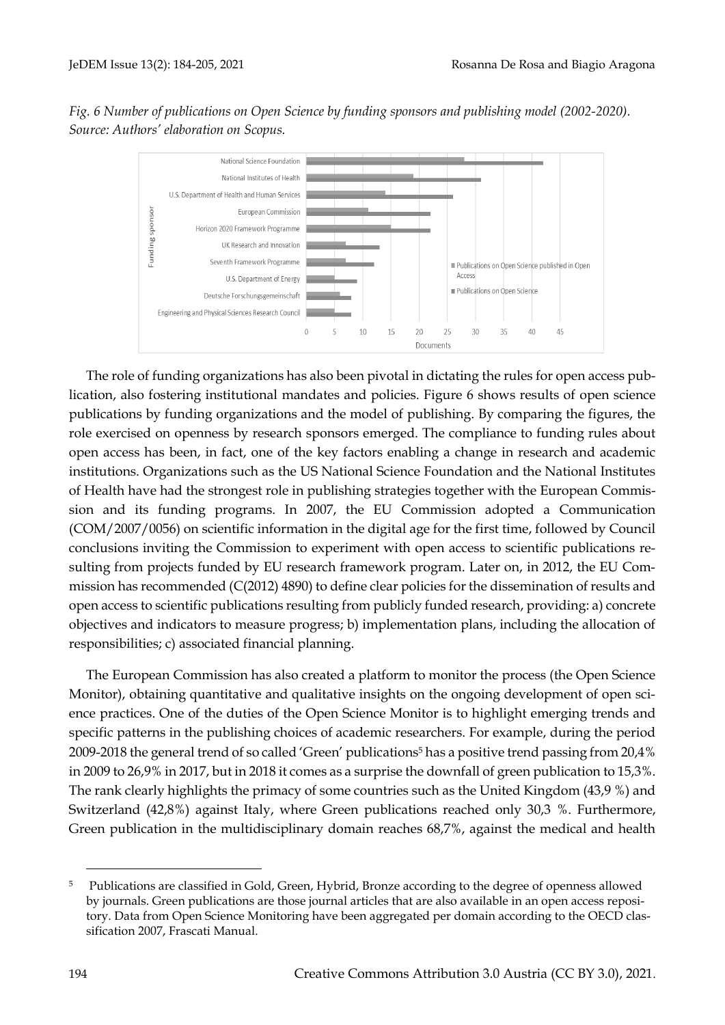*Fig. 6 Number of publications on Open Science by funding sponsors and publishing model (2002-2020). Source: Authors' elaboration on Scopus.*



The role of funding organizations has also been pivotal in dictating the rules for open access publication, also fostering institutional mandates and policies. Figure 6 shows results of open science publications by funding organizations and the model of publishing. By comparing the figures, the role exercised on openness by research sponsors emerged. The compliance to funding rules about open access has been, in fact, one of the key factors enabling a change in research and academic institutions. Organizations such as the US National Science Foundation and the National Institutes of Health have had the strongest role in publishing strategies together with the European Commission and its funding programs. In 2007, the EU Commission adopted a Communication (COM/2007/0056) on scientific information in the digital age for the first time, followed by Council conclusions inviting the Commission to experiment with open access to scientific publications resulting from projects funded by EU research framework program. Later on, in 2012, the EU Commission has recommended (C(2012) 4890) to define clear policies for the dissemination of results and open access to scientific publications resulting from publicly funded research, providing: a) concrete objectives and indicators to measure progress; b) implementation plans, including the allocation of responsibilities; c) associated financial planning.

The European Commission has also created a platform to monitor the process (the Open Science Monitor), obtaining quantitative and qualitative insights on the ongoing development of open science practices. One of the duties of the Open Science Monitor is to highlight emerging trends and specific patterns in the publishing choices of academic researchers. For example, during the period 2009-2018 the general trend of so called 'Green' publications<sup>5</sup> has a positive trend passing from 20,4% in 2009 to 26,9% in 2017, but in 2018 it comes as a surprise the downfall of green publication to 15,3%. The rank clearly highlights the primacy of some countries such as the United Kingdom (43,9 %) and Switzerland (42,8%) against Italy, where Green publications reached only 30,3 %. Furthermore, Green publication in the multidisciplinary domain reaches 68,7%, against the medical and health

<sup>5</sup> Publications are classified in Gold, Green, Hybrid, Bronze according to the degree of openness allowed by journals. Green publications are those journal articles that are also available in an open access repository. Data from Open Science Monitoring have been aggregated per domain according to the OECD classification 2007, Frascati Manual.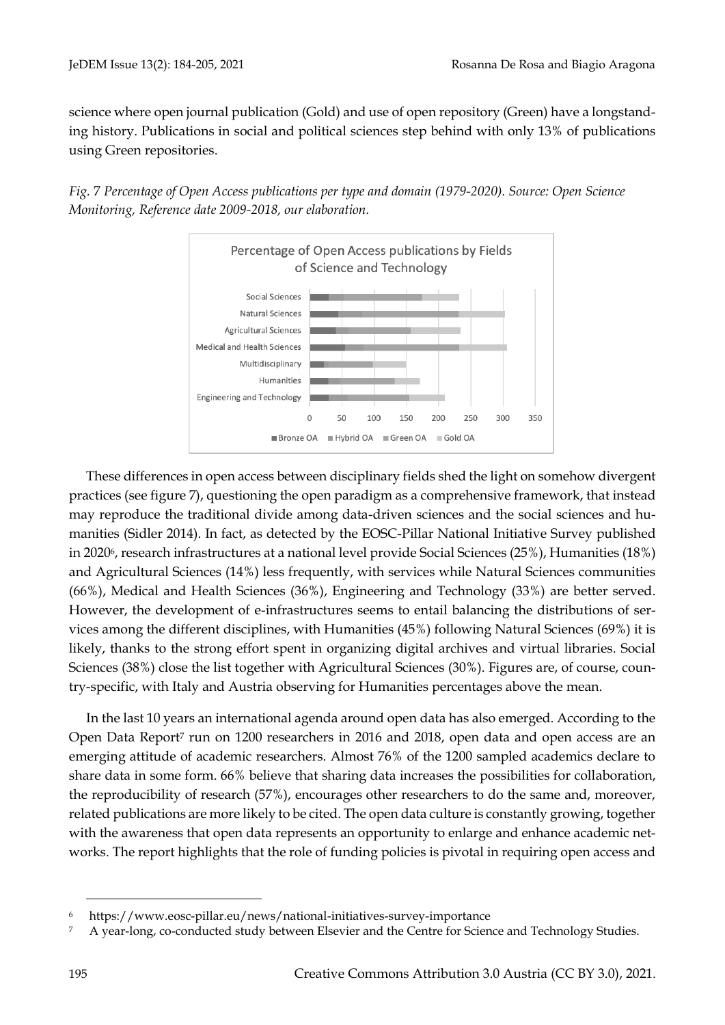science where open journal publication (Gold) and use of open repository (Green) have a longstanding history. Publications in social and political sciences step behind with only 13% of publications using Green repositories.



*Fig.* 7 *Percentage of Open Access publications per type and domain (1979-2020). Source: Open Science Monitoring, Reference date 2009-2018, our elaboration.*

These differences in open access between disciplinary fields shed the light on somehow divergent practices (see figure 7), questioning the open paradigm as a comprehensive framework, that instead may reproduce the traditional divide among data-driven sciences and the social sciences and humanities (Sidler 2014). In fact, as detected by the EOSC-Pillar National Initiative Survey published in 20206, research infrastructures at a national level provide Social Sciences (25%), Humanities (18%) and Agricultural Sciences (14%) less frequently, with services while Natural Sciences communities (66%), Medical and Health Sciences (36%), Engineering and Technology (33%) are better served. However, the development of e-infrastructures seems to entail balancing the distributions of services among the different disciplines, with Humanities (45%) following Natural Sciences (69%) it is likely, thanks to the strong effort spent in organizing digital archives and virtual libraries. Social Sciences (38%) close the list together with Agricultural Sciences (30%). Figures are, of course, country-specific, with Italy and Austria observing for Humanities percentages above the mean.

In the last 10 years an international agenda around open data has also emerged. According to the Open Data Report<sup>7</sup> run on 1200 researchers in 2016 and 2018, open data and open access are an emerging attitude of academic researchers. Almost 76% of the 1200 sampled academics declare to share data in some form. 66% believe that sharing data increases the possibilities for collaboration, the reproducibility of research (57%), encourages other researchers to do the same and, moreover, related publications are more likely to be cited. The open data culture is constantly growing, together with the awareness that open data represents an opportunity to enlarge and enhance academic networks. The report highlights that the role of funding policies is pivotal in requiring open access and

<sup>6</sup> https://www.eosc-pillar.eu/news/national-initiatives-survey-importance

<sup>&</sup>lt;sup>7</sup> A year-long, co-conducted study between Elsevier and the Centre for Science and Technology Studies.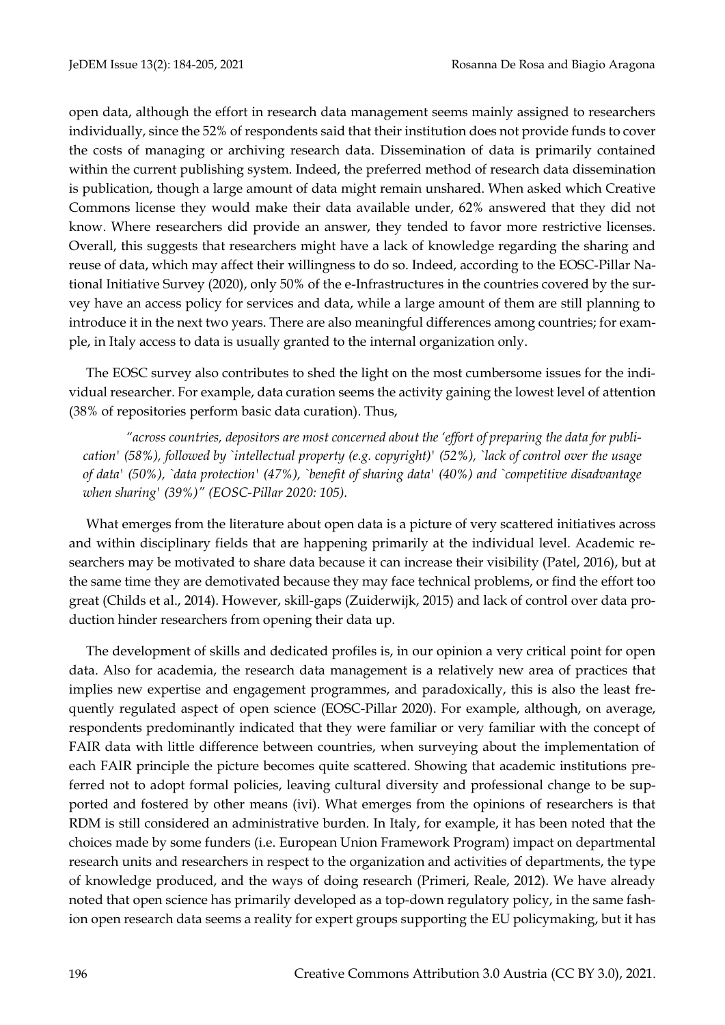open data, although the effort in research data management seems mainly assigned to researchers individually, since the 52% of respondents said that their institution does not provide funds to cover the costs of managing or archiving research data. Dissemination of data is primarily contained within the current publishing system. Indeed, the preferred method of research data dissemination is publication, though a large amount of data might remain unshared. When asked which Creative Commons license they would make their data available under, 62% answered that they did not know. Where researchers did provide an answer, they tended to favor more restrictive licenses. Overall, this suggests that researchers might have a lack of knowledge regarding the sharing and reuse of data, which may affect their willingness to do so. Indeed, according to the EOSC-Pillar National Initiative Survey (2020), only 50% of the e-Infrastructures in the countries covered by the survey have an access policy for services and data, while a large amount of them are still planning to introduce it in the next two years. There are also meaningful differences among countries; for example, in Italy access to data is usually granted to the internal organization only.

The EOSC survey also contributes to shed the light on the most cumbersome issues for the individual researcher. For example, data curation seems the activity gaining the lowest level of attention (38% of repositories perform basic data curation). Thus,

*"across countries, depositors are most concerned about the 'effort of preparing the data for publication' (58%), followed by `intellectual property (e.g. copyright)' (52%), `lack of control over the usage of data' (50%), `data protection' (47%), `benefit of sharing data' (40%) and `competitive disadvantage when sharing' (39%)" (EOSC-Pillar 2020: 105).* 

What emerges from the literature about open data is a picture of very scattered initiatives across and within disciplinary fields that are happening primarily at the individual level. Academic researchers may be motivated to share data because it can increase their visibility (Patel, 2016), but at the same time they are demotivated because they may face technical problems, or find the effort too great (Childs et al., 2014). However, skill-gaps (Zuiderwijk, 2015) and lack of control over data production hinder researchers from opening their data up.

The development of skills and dedicated profiles is, in our opinion a very critical point for open data. Also for academia, the research data management is a relatively new area of practices that implies new expertise and engagement programmes, and paradoxically, this is also the least frequently regulated aspect of open science (EOSC-Pillar 2020). For example, although, on average, respondents predominantly indicated that they were familiar or very familiar with the concept of FAIR data with little difference between countries, when surveying about the implementation of each FAIR principle the picture becomes quite scattered. Showing that academic institutions preferred not to adopt formal policies, leaving cultural diversity and professional change to be supported and fostered by other means (ivi). What emerges from the opinions of researchers is that RDM is still considered an administrative burden. In Italy, for example, it has been noted that the choices made by some funders (i.e. European Union Framework Program) impact on departmental research units and researchers in respect to the organization and activities of departments, the type of knowledge produced, and the ways of doing research (Primeri, Reale, 2012). We have already noted that open science has primarily developed as a top-down regulatory policy, in the same fashion open research data seems a reality for expert groups supporting the EU policymaking, but it has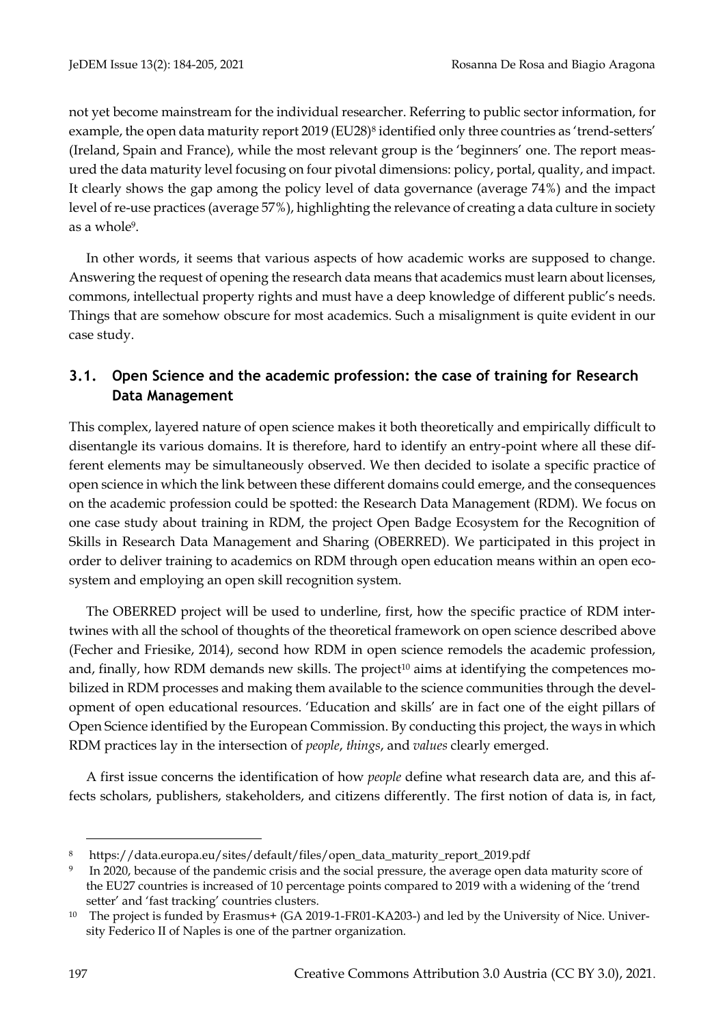not yet become mainstream for the individual researcher. Referring to public sector information, for example, the open data maturity report 2019 (EU28)<sup>8</sup> identified only three countries as 'trend-setters' (Ireland, Spain and France), while the most relevant group is the 'beginners' one. The report measured the data maturity level focusing on four pivotal dimensions: policy, portal, quality, and impact. It clearly shows the gap among the policy level of data governance (average 74%) and the impact level of re-use practices (average 57%), highlighting the relevance of creating a data culture in society as a whole9.

In other words, it seems that various aspects of how academic works are supposed to change. Answering the request of opening the research data means that academics must learn about licenses, commons, intellectual property rights and must have a deep knowledge of different public's needs. Things that are somehow obscure for most academics. Such a misalignment is quite evident in our case study.

## **3.1. Open Science and the academic profession: the case of training for Research Data Management**

This complex, layered nature of open science makes it both theoretically and empirically difficult to disentangle its various domains. It is therefore, hard to identify an entry-point where all these different elements may be simultaneously observed. We then decided to isolate a specific practice of open science in which the link between these different domains could emerge, and the consequences on the academic profession could be spotted: the Research Data Management (RDM). We focus on one case study about training in RDM, the project Open Badge Ecosystem for the Recognition of Skills in Research Data Management and Sharing (OBERRED). We participated in this project in order to deliver training to academics on RDM through open education means within an open ecosystem and employing an open skill recognition system.

The OBERRED project will be used to underline, first, how the specific practice of RDM intertwines with all the school of thoughts of the theoretical framework on open science described above (Fecher and Friesike, 2014), second how RDM in open science remodels the academic profession, and, finally, how RDM demands new skills. The project<sup>10</sup> aims at identifying the competences mobilized in RDM processes and making them available to the science communities through the development of open educational resources. 'Education and skills' are in fact one of the eight pillars of Open Science identified by the European Commission. By conducting this project, the ways in which RDM practices lay in the intersection of *people*, *things*, and *values* clearly emerged.

A first issue concerns the identification of how *people* define what research data are, and this affects scholars, publishers, stakeholders, and citizens differently. The first notion of data is, in fact,

<sup>8</sup> https://data.europa.eu/sites/default/files/open\_data\_maturity\_report\_2019.pdf

<sup>9</sup> In 2020, because of the pandemic crisis and the social pressure, the average open data maturity score of the EU27 countries is increased of 10 percentage points compared to 2019 with a widening of the 'trend setter' and 'fast tracking' countries clusters.

<sup>&</sup>lt;sup>10</sup> The project is funded by Erasmus+ (GA 2019-1-FR01-KA203-) and led by the University of Nice. University Federico II of Naples is one of the partner organization.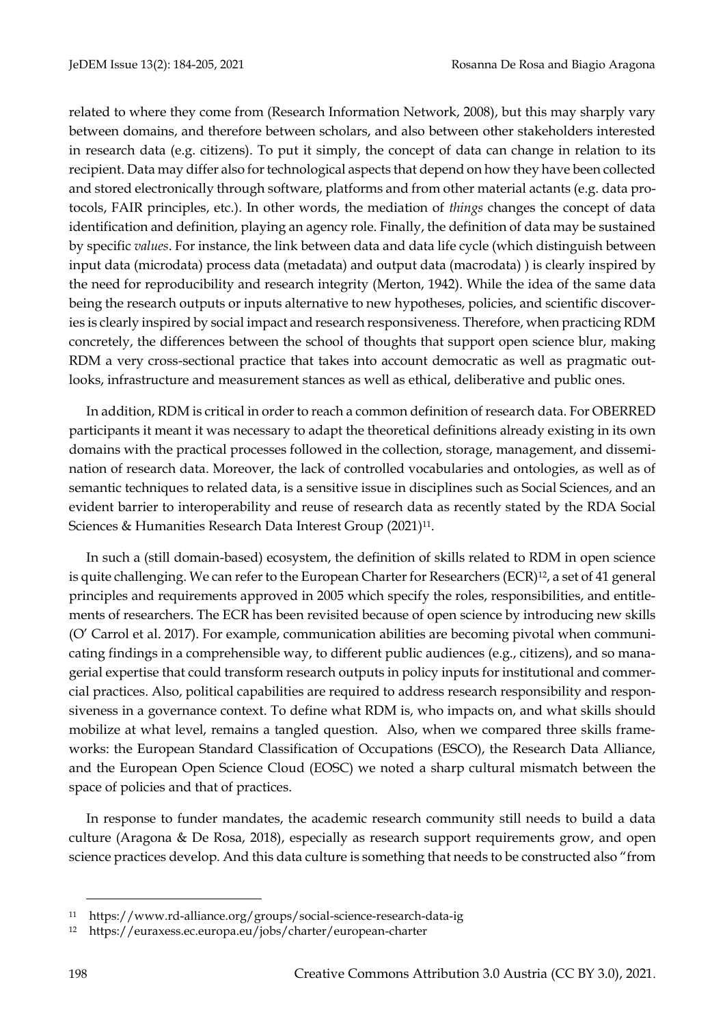related to where they come from (Research Information Network, 2008), but this may sharply vary between domains, and therefore between scholars, and also between other stakeholders interested in research data (e.g. citizens). To put it simply, the concept of data can change in relation to its recipient. Data may differ also for technological aspects that depend on how they have been collected and stored electronically through software, platforms and from other material actants (e.g. data protocols, FAIR principles, etc.). In other words, the mediation of *things* changes the concept of data identification and definition, playing an agency role. Finally, the definition of data may be sustained by specific *values*. For instance, the link between data and data life cycle (which distinguish between input data (microdata) process data (metadata) and output data (macrodata) ) is clearly inspired by the need for reproducibility and research integrity (Merton, 1942). While the idea of the same data being the research outputs or inputs alternative to new hypotheses, policies, and scientific discoveries is clearly inspired by social impact and research responsiveness. Therefore, when practicing RDM concretely, the differences between the school of thoughts that support open science blur, making RDM a very cross-sectional practice that takes into account democratic as well as pragmatic outlooks, infrastructure and measurement stances as well as ethical, deliberative and public ones.

In addition, RDM is critical in order to reach a common definition of research data. For OBERRED participants it meant it was necessary to adapt the theoretical definitions already existing in its own domains with the practical processes followed in the collection, storage, management, and dissemination of research data. Moreover, the lack of controlled vocabularies and ontologies, as well as of semantic techniques to related data, is a sensitive issue in disciplines such as Social Sciences, and an evident barrier to interoperability and reuse of research data as recently stated by the RDA Social Sciences & Humanities Research Data Interest Group (2021)<sup>11</sup>.

In such a (still domain-based) ecosystem, the definition of skills related to RDM in open science is quite challenging. We can refer to the European Charter for Researchers (ECR)<sup>12</sup>, a set of 41 general principles and requirements approved in 2005 which specify the roles, responsibilities, and entitlements of researchers. The ECR has been revisited because of open science by introducing new skills (O' Carrol et al. 2017). For example, communication abilities are becoming pivotal when communicating findings in a comprehensible way, to different public audiences (e.g., citizens), and so managerial expertise that could transform research outputs in policy inputs for institutional and commercial practices. Also, political capabilities are required to address research responsibility and responsiveness in a governance context. To define what RDM is, who impacts on, and what skills should mobilize at what level, remains a tangled question. Also, when we compared three skills frameworks: the European Standard Classification of Occupations (ESCO), the Research Data Alliance, and the European Open Science Cloud (EOSC) we noted a sharp cultural mismatch between the space of policies and that of practices.

In response to funder mandates, the academic research community still needs to build a data culture (Aragona & De Rosa, 2018), especially as research support requirements grow, and open science practices develop. And this data culture is something that needs to be constructed also "from

<sup>11</sup> https://www.rd-alliance.org/groups/social-science-research-data-ig

<sup>12</sup> https://euraxess.ec.europa.eu/jobs/charter/european-charter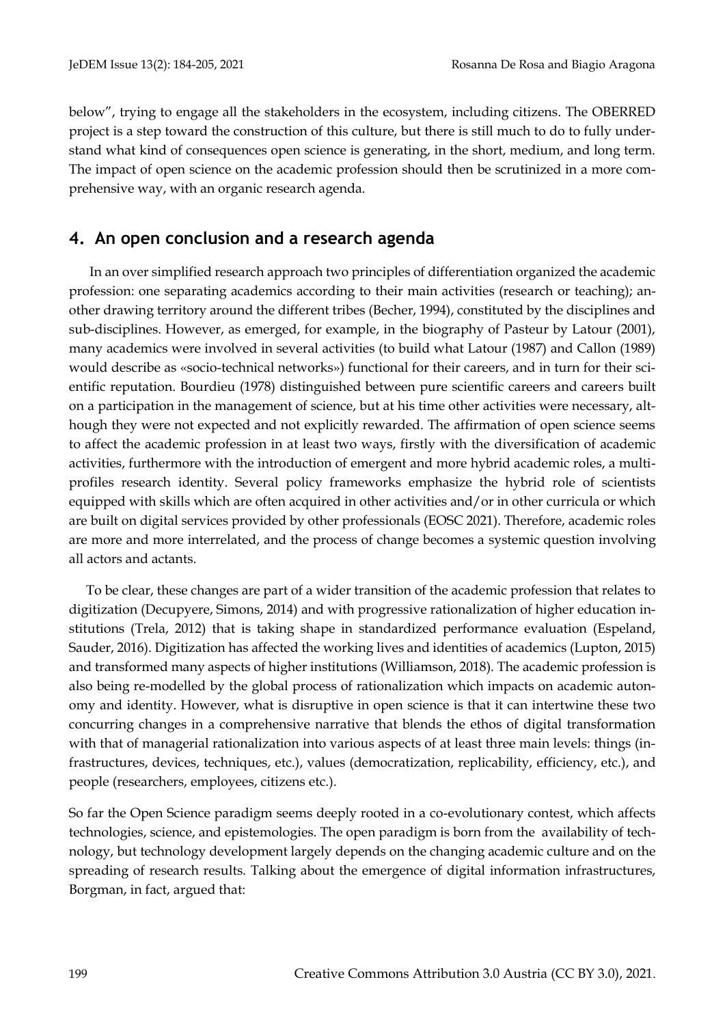below", trying to engage all the stakeholders in the ecosystem, including citizens. The OBERRED project is a step toward the construction of this culture, but there is still much to do to fully understand what kind of consequences open science is generating, in the short, medium, and long term. The impact of open science on the academic profession should then be scrutinized in a more comprehensive way, with an organic research agenda.

## **4. An open conclusion and a research agenda**

In an over simplified research approach two principles of differentiation organized the academic profession: one separating academics according to their main activities (research or teaching); another drawing territory around the different tribes (Becher, 1994), constituted by the disciplines and sub-disciplines. However, as emerged, for example, in the biography of Pasteur by Latour (2001), many academics were involved in several activities (to build what Latour (1987) and Callon (1989) would describe as «socio-technical networks») functional for their careers, and in turn for their scientific reputation. Bourdieu (1978) distinguished between pure scientific careers and careers built on a participation in the management of science, but at his time other activities were necessary, although they were not expected and not explicitly rewarded. The affirmation of open science seems to affect the academic profession in at least two ways, firstly with the diversification of academic activities, furthermore with the introduction of emergent and more hybrid academic roles, a multiprofiles research identity. Several policy frameworks emphasize the hybrid role of scientists equipped with skills which are often acquired in other activities and/or in other curricula or which are built on digital services provided by other professionals (EOSC 2021). Therefore, academic roles are more and more interrelated, and the process of change becomes a systemic question involving all actors and actants.

To be clear, these changes are part of a wider transition of the academic profession that relates to digitization (Decupyere, Simons, 2014) and with progressive rationalization of higher education institutions (Trela, 2012) that is taking shape in standardized performance evaluation (Espeland, Sauder, 2016). Digitization has affected the working lives and identities of academics (Lupton, 2015) and transformed many aspects of higher institutions (Williamson, 2018). The academic profession is also being re-modelled by the global process of rationalization which impacts on academic autonomy and identity. However, what is disruptive in open science is that it can intertwine these two concurring changes in a comprehensive narrative that blends the ethos of digital transformation with that of managerial rationalization into various aspects of at least three main levels: things (infrastructures, devices, techniques, etc.), values (democratization, replicability, efficiency, etc.), and people (researchers, employees, citizens etc.).

So far the Open Science paradigm seems deeply rooted in a co-evolutionary contest, which affects technologies, science, and epistemologies. The open paradigm is born from the availability of technology, but technology development largely depends on the changing academic culture and on the spreading of research results. Talking about the emergence of digital information infrastructures, Borgman, in fact, argued that: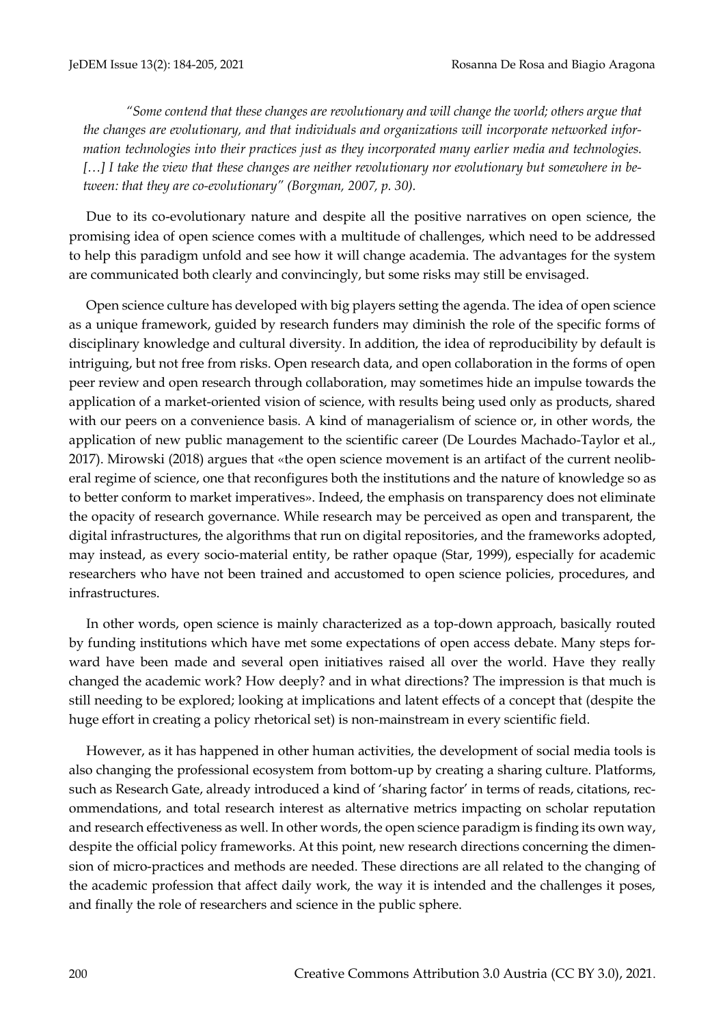*"Some contend that these changes are revolutionary and will change the world; others argue that the changes are evolutionary, and that individuals and organizations will incorporate networked information technologies into their practices just as they incorporated many earlier media and technologies. […] I take the view that these changes are neither revolutionary nor evolutionary but somewhere in between: that they are co-evolutionary" (Borgman, 2007, p. 30).* 

Due to its co-evolutionary nature and despite all the positive narratives on open science, the promising idea of open science comes with a multitude of challenges, which need to be addressed to help this paradigm unfold and see how it will change academia. The advantages for the system are communicated both clearly and convincingly, but some risks may still be envisaged.

Open science culture has developed with big players setting the agenda. The idea of open science as a unique framework, guided by research funders may diminish the role of the specific forms of disciplinary knowledge and cultural diversity. In addition, the idea of reproducibility by default is intriguing, but not free from risks. Open research data, and open collaboration in the forms of open peer review and open research through collaboration, may sometimes hide an impulse towards the application of a market-oriented vision of science, with results being used only as products, shared with our peers on a convenience basis. A kind of managerialism of science or, in other words, the application of new public management to the scientific career (De Lourdes Machado-Taylor et al., 2017). Mirowski (2018) argues that «the open science movement is an artifact of the current neoliberal regime of science, one that reconfigures both the institutions and the nature of knowledge so as to better conform to market imperatives». Indeed, the emphasis on transparency does not eliminate the opacity of research governance. While research may be perceived as open and transparent, the digital infrastructures, the algorithms that run on digital repositories, and the frameworks adopted, may instead, as every socio-material entity, be rather opaque (Star, 1999), especially for academic researchers who have not been trained and accustomed to open science policies, procedures, and infrastructures.

In other words, open science is mainly characterized as a top-down approach, basically routed by funding institutions which have met some expectations of open access debate. Many steps forward have been made and several open initiatives raised all over the world. Have they really changed the academic work? How deeply? and in what directions? The impression is that much is still needing to be explored; looking at implications and latent effects of a concept that (despite the huge effort in creating a policy rhetorical set) is non-mainstream in every scientific field.

However, as it has happened in other human activities, the development of social media tools is also changing the professional ecosystem from bottom-up by creating a sharing culture. Platforms, such as Research Gate, already introduced a kind of 'sharing factor' in terms of reads, citations, recommendations, and total research interest as alternative metrics impacting on scholar reputation and research effectiveness as well. In other words, the open science paradigm is finding its own way, despite the official policy frameworks. At this point, new research directions concerning the dimension of micro-practices and methods are needed. These directions are all related to the changing of the academic profession that affect daily work, the way it is intended and the challenges it poses, and finally the role of researchers and science in the public sphere.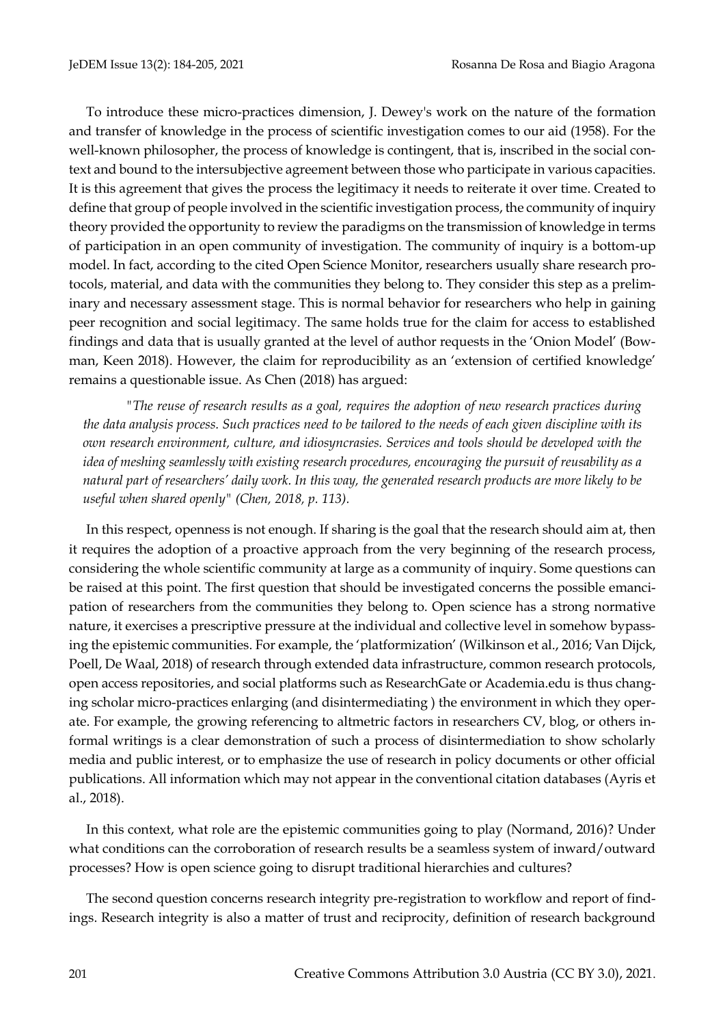To introduce these micro-practices dimension, J. Dewey's work on the nature of the formation and transfer of knowledge in the process of scientific investigation comes to our aid (1958). For the well-known philosopher, the process of knowledge is contingent, that is, inscribed in the social context and bound to the intersubjective agreement between those who participate in various capacities. It is this agreement that gives the process the legitimacy it needs to reiterate it over time. Created to define that group of people involved in the scientific investigation process, the community of inquiry theory provided the opportunity to review the paradigms on the transmission of knowledge in terms of participation in an open community of investigation. The community of inquiry is a bottom-up model. In fact, according to the cited Open Science Monitor, researchers usually share research protocols, material, and data with the communities they belong to. They consider this step as a preliminary and necessary assessment stage. This is normal behavior for researchers who help in gaining peer recognition and social legitimacy. The same holds true for the claim for access to established findings and data that is usually granted at the level of author requests in the 'Onion Model' (Bowman, Keen 2018). However, the claim for reproducibility as an 'extension of certified knowledge' remains a questionable issue. As Chen (2018) has argued:

*"The reuse of research results as a goal, requires the adoption of new research practices during the data analysis process. Such practices need to be tailored to the needs of each given discipline with its own research environment, culture, and idiosyncrasies. Services and tools should be developed with the idea of meshing seamlessly with existing research procedures, encouraging the pursuit of reusability as a natural part of researchers' daily work. In this way, the generated research products are more likely to be useful when shared openly" (Chen, 2018, p. 113).*

In this respect, openness is not enough. If sharing is the goal that the research should aim at, then it requires the adoption of a proactive approach from the very beginning of the research process, considering the whole scientific community at large as a community of inquiry. Some questions can be raised at this point. The first question that should be investigated concerns the possible emancipation of researchers from the communities they belong to. Open science has a strong normative nature, it exercises a prescriptive pressure at the individual and collective level in somehow bypassing the epistemic communities. For example, the 'platformization' (Wilkinson et al., 2016; Van Dijck, Poell, De Waal, 2018) of research through extended data infrastructure, common research protocols, open access repositories, and social platforms such as ResearchGate or Academia.edu is thus changing scholar micro-practices enlarging (and disintermediating ) the environment in which they operate. For example, the growing referencing to altmetric factors in researchers CV, blog, or others informal writings is a clear demonstration of such a process of disintermediation to show scholarly media and public interest, or to emphasize the use of research in policy documents or other official publications. All information which may not appear in the conventional citation databases (Ayris et al., 2018).

In this context, what role are the epistemic communities going to play (Normand, 2016)? Under what conditions can the corroboration of research results be a seamless system of inward/outward processes? How is open science going to disrupt traditional hierarchies and cultures?

The second question concerns research integrity pre-registration to workflow and report of findings. Research integrity is also a matter of trust and reciprocity, definition of research background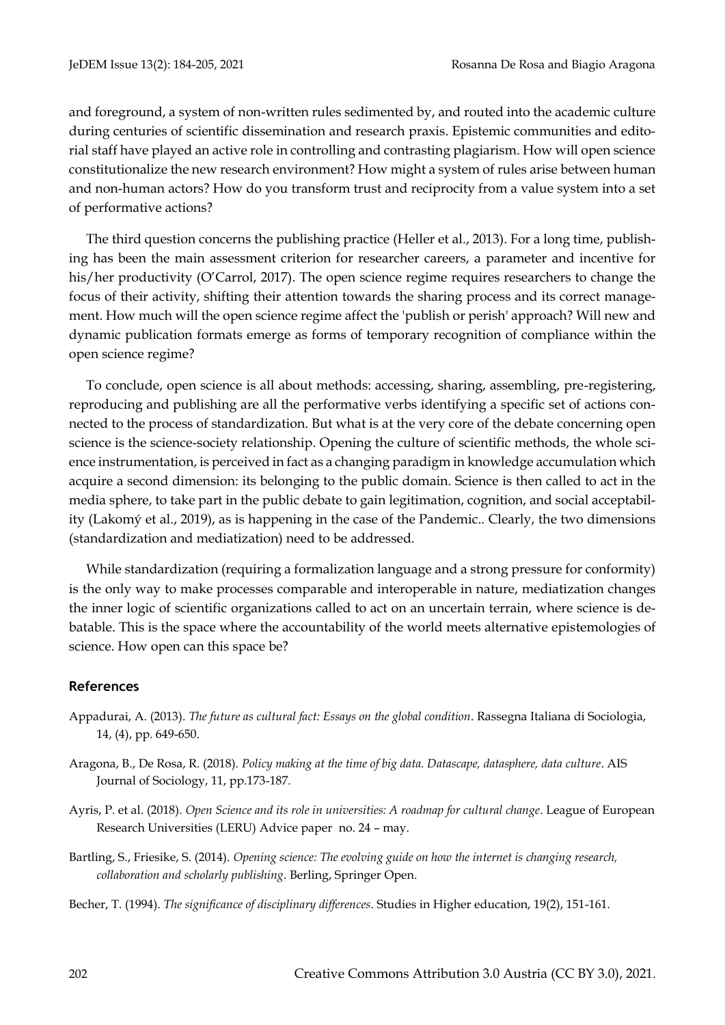and foreground, a system of non-written rules sedimented by, and routed into the academic culture during centuries of scientific dissemination and research praxis. Epistemic communities and editorial staff have played an active role in controlling and contrasting plagiarism. How will open science constitutionalize the new research environment? How might a system of rules arise between human and non-human actors? How do you transform trust and reciprocity from a value system into a set of performative actions?

The third question concerns the publishing practice (Heller et al., 2013). For a long time, publishing has been the main assessment criterion for researcher careers, a parameter and incentive for his/her productivity (O'Carrol, 2017). The open science regime requires researchers to change the focus of their activity, shifting their attention towards the sharing process and its correct management. How much will the open science regime affect the 'publish or perish' approach? Will new and dynamic publication formats emerge as forms of temporary recognition of compliance within the open science regime?

To conclude, open science is all about methods: accessing, sharing, assembling, pre-registering, reproducing and publishing are all the performative verbs identifying a specific set of actions connected to the process of standardization. But what is at the very core of the debate concerning open science is the science-society relationship. Opening the culture of scientific methods, the whole science instrumentation, is perceived in fact as a changing paradigm in knowledge accumulation which acquire a second dimension: its belonging to the public domain. Science is then called to act in the media sphere, to take part in the public debate to gain legitimation, cognition, and social acceptability (Lakomý et al., 2019), as is happening in the case of the Pandemic.. Clearly, the two dimensions (standardization and mediatization) need to be addressed.

While standardization (requiring a formalization language and a strong pressure for conformity) is the only way to make processes comparable and interoperable in nature, mediatization changes the inner logic of scientific organizations called to act on an uncertain terrain, where science is debatable. This is the space where the accountability of the world meets alternative epistemologies of science. How open can this space be?

#### **References**

- Appadurai, A. (2013). *The future as cultural fact: Essays on the global condition*. Rassegna Italiana di Sociologia, 14, (4), pp. 649-650.
- Aragona, B., De Rosa, R. (2018). *Policy making at the time of big data. Datascape, datasphere, data culture*. AIS Journal of Sociology, 11, pp.173-187.
- Ayris, P. et al. (2018). *Open Science and its role in universities: A roadmap for cultural change*. League of European Research Universities (LERU) Advice paper no. 24 – may.
- Bartling, S., Friesike, S. (2014). *Opening science: The evolving guide on how the internet is changing research, collaboration and scholarly publishing*. Berling, Springer Open.
- Becher, T. (1994). *The significance of disciplinary differences*. Studies in Higher education, 19(2), 151-161.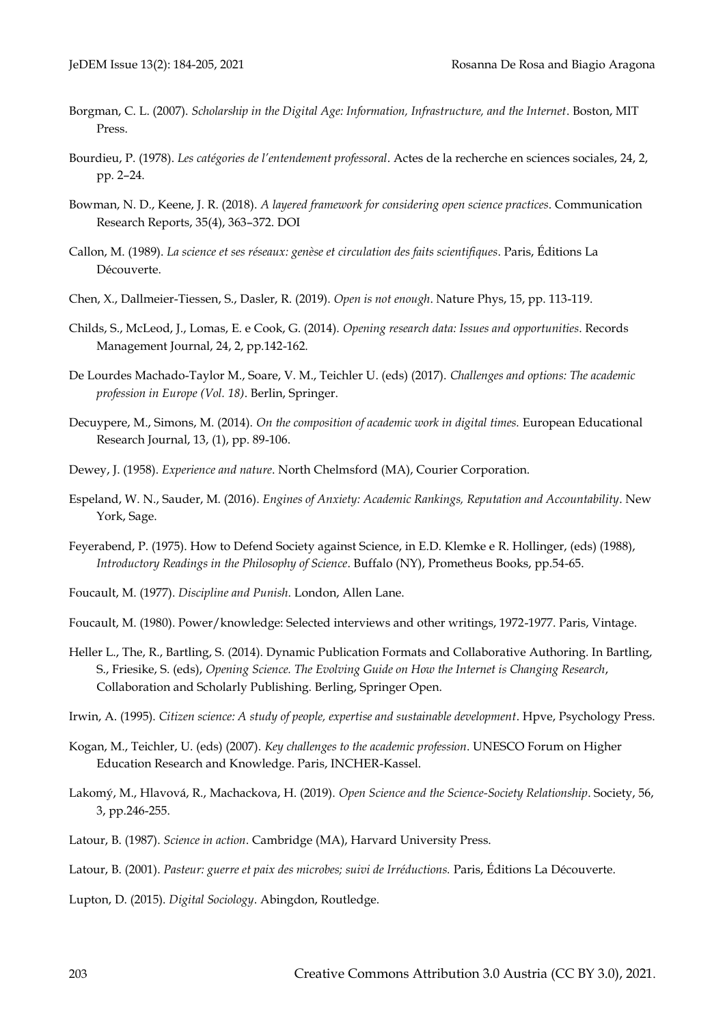- Borgman, C. L. (2007). *Scholarship in the Digital Age: Information, Infrastructure, and the Internet*. Boston, MIT Press.
- Bourdieu, P. (1978). *Les catégories de l'entendement professoral*. Actes de la recherche en sciences sociales, 24, 2, pp. 2–24.
- Bowman, N. D., Keene, J. R. (2018). *A layered framework for considering open science practices*. Communication Research Reports, 35(4), 363–372[. DOI](../Downloads/.%20https:/doi.org/10.1080/08824096.2018.1513273)
- Callon, M. (1989). *La science et ses réseaux: genèse et circulation des faits scientifiques*. Paris, Éditions La Découverte.
- Chen, X., Dallmeier-Tiessen, S., Dasler, R. (2019). *Open is not enough*. Nature Phys, 15, pp. 113-119.
- Childs, S., McLeod, J., Lomas, E. e Cook, G. (2014). *Opening research data: Issues and opportunities*. Records Management Journal, 24, 2, pp.142-162.
- De Lourdes Machado-Taylor M., Soare, V. M., Teichler U. (eds) (2017). *Challenges and options: The academic profession in Europe (Vol. 18)*. Berlin, Springer.
- Decuypere, M., Simons, M. (2014). *On the composition of academic work in digital times.* European Educational Research Journal, 13, (1), pp. 89-106.
- Dewey, J. (1958). *Experience and nature*. North Chelmsford (MA), Courier Corporation.
- Espeland, W. N., Sauder, M. (2016). *Engines of Anxiety: Academic Rankings, Reputation and Accountability*. New York, Sage.
- Feyerabend, P. (1975). How to Defend Society against Science, in E.D. Klemke e R. Hollinger, (eds) (1988), *Introductory Readings in the Philosophy of Science*. Buffalo (NY), Prometheus Books, pp.54-65.
- Foucault, M. (1977). *Discipline and Punish*. London, Allen Lane.
- Foucault, M. (1980). Power/knowledge: Selected interviews and other writings, 1972-1977. Paris, Vintage.
- Heller L., The, R., Bartling, S. (2014). Dynamic Publication Formats and Collaborative Authoring. In Bartling, S., Friesike, S. (eds), *Opening Science. The Evolving Guide on How the Internet is Changing Research*, Collaboration and Scholarly Publishing. Berling, Springer Open.
- Irwin, A. (1995). *Citizen science: A study of people, expertise and sustainable development*. Hpve, Psychology Press.
- Kogan, M., Teichler, U. (eds) (2007). *Key challenges to the academic profession*. UNESCO Forum on Higher Education Research and Knowledge. Paris, INCHER-Kassel.
- Lakomý, M., Hlavová, R., Machackova, H. (2019). *Open Science and the Science-Society Relationship*. Society, 56, 3, pp.246-255.
- Latour, B. (1987). *Science in action*. Cambridge (MA), Harvard University Press.
- Latour, B. (2001). *Pasteur: guerre et paix des microbes; suivi de Irréductions.* Paris, Éditions La Découverte.
- Lupton, D. (2015). *Digital Sociology*. Abingdon, Routledge.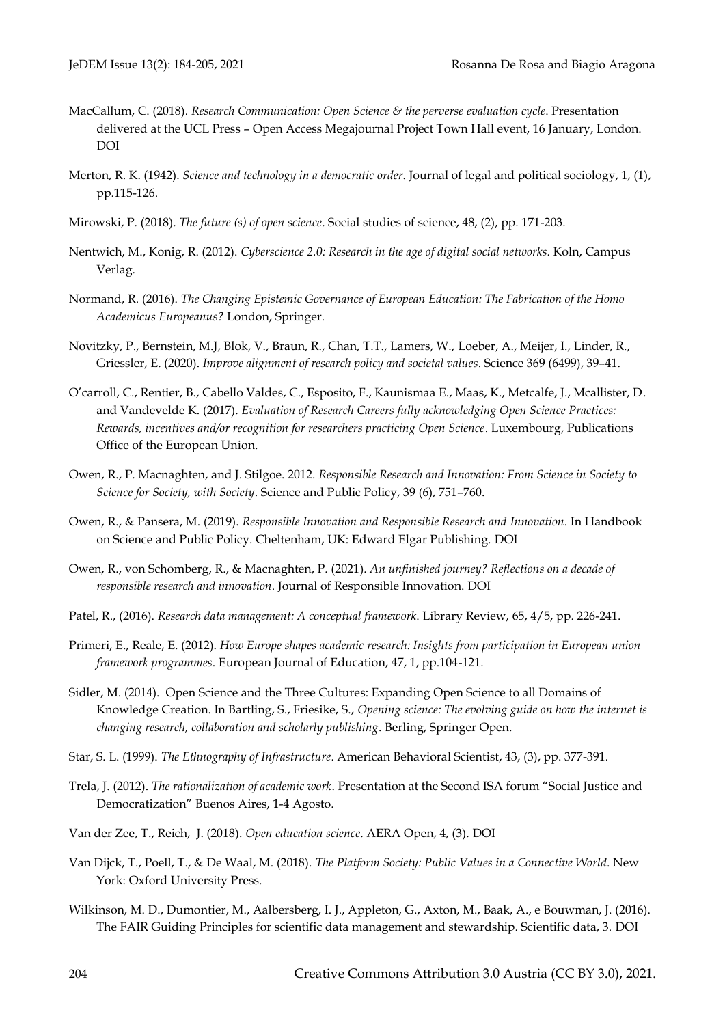- MacCallum, C. (2018). *Research Communication: Open Science & the perverse evaluation cycle*. Presentation delivered at the UCL Press – Open Access Megajournal Project Town Hall event, 16 January, London. [DOI](https://doi.org/10.14324/111.1234)
- Merton, R. K. (1942). *Science and technology in a democratic order*. Journal of legal and political sociology, 1, (1), pp.115-126.
- Mirowski, P. (2018). *The future (s) of open science*. Social studies of science, 48, (2), pp. 171-203.
- Nentwich, M., Konig, R. (2012). *Cyberscience 2.0: Research in the age of digital social networks*. Koln, Campus Verlag.
- Normand, R. (2016). *The Changing Epistemic Governance of European Education: The Fabrication of the Homo Academicus Europeanus?* London, Springer.
- Novitzky, P., Bernstein, M.J, Blok, V., Braun, R., Chan, T.T., Lamers, W., Loeber, A., Meijer, I., Linder, R., Griessler, E. (2020). *Improve alignment of research policy and societal values*. Science 369 (6499), 39–41.
- O'carroll, C., Rentier, B., Cabello Valdes, C., Esposito, F., Kaunismaa E., Maas, K., Metcalfe, J., Mcallister, D. and Vandevelde K. (2017). *Evaluation of Research Careers fully acknowledging Open Science Practices: Rewards, incentives and/or recognition for researchers practicing Open Science*. Luxembourg, Publications Office of the European Union.
- Owen, R., P. Macnaghten, and J. Stilgoe. 2012. *Responsible Research and Innovation: From Science in Society to Science for Society, with Society*. Science and Public Policy, 39 (6), 751–760.
- Owen, R., & Pansera, M. (2019). *Responsible Innovation and Responsible Research and Innovation*. In Handbook on Science and Public Policy. Cheltenham, UK: Edward Elgar Publishing. [DOI](https://doi.org/10.4337/9781784715946.00010https:/doi.org/10.4337/9781784715946.00010)
- Owen, R., von Schomberg, R., & Macnaghten, P. (2021). *An unfinished journey? Reflections on a decade of responsible research and innovation*. Journal of Responsible Innovation. [DOI](http://doi.org/10.1080/23299460.2021.1948789)
- Patel, R., (2016). *Research data management: A conceptual framework*. Library Review, 65, 4/5, pp. 226-241.
- Primeri, E., Reale, E. (2012). *How Europe shapes academic research: Insights from participation in European union framework programmes*. European Journal of Education, 47, 1, pp.104-121.
- Sidler, M. (2014). Open Science and the Three Cultures: Expanding Open Science to all Domains of Knowledge Creation. In Bartling, S., Friesike, S., *Opening science: The evolving guide on how the internet is changing research, collaboration and scholarly publishing*. Berling, Springer Open.
- Star, S. L. (1999). *The Ethnography of Infrastructure*. American Behavioral Scientist, 43, (3), pp. 377-391.
- Trela, J. (2012). *The rationalization of academic work*. Presentation at the Second ISA forum "Social Justice and Democratization" Buenos Aires, 1-4 Agosto.
- Van der Zee, T., Reich, J. (2018). *Open education science*. AERA Open, 4, (3). [DOI](https://doi.org/10.1177/2332858418787466)
- Van Dijck, T., Poell, T., & De Waal, M. (2018). *The Platform Society: Public Values in a Connective World*. New York: Oxford University Press.
- Wilkinson, M. D., Dumontier, M., Aalbersberg, I. J., Appleton, G., Axton, M., Baak, A., e Bouwman, J. (2016). The FAIR Guiding Principles for scientific data management and stewardship. Scientific data, 3. [DOI](https://doi.org/10.1038/sdata.2016.18.)